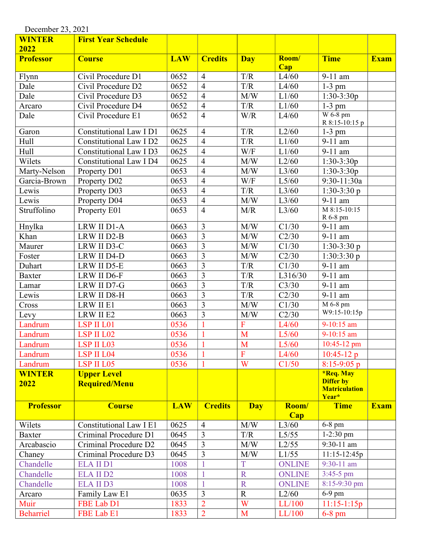| December 23, 2021     |                                            |            |                |                         |               |                                                                       |             |  |
|-----------------------|--------------------------------------------|------------|----------------|-------------------------|---------------|-----------------------------------------------------------------------|-------------|--|
| <b>WINTER</b>         | <b>First Year Schedule</b>                 |            |                |                         |               |                                                                       |             |  |
| 2022                  |                                            |            |                |                         |               |                                                                       |             |  |
| <b>Professor</b>      | <b>Course</b>                              | <b>LAW</b> | <b>Credits</b> | Day                     | Room/<br>Cap  | <b>Time</b>                                                           | <b>Exam</b> |  |
| Flynn                 | Civil Procedure D1                         | 0652       | $\overline{4}$ | T/R                     | L4/60         | 9-11 am                                                               |             |  |
| Dale                  | Civil Procedure D2                         | 0652       | $\overline{4}$ | T/R                     | L4/60         | $1-3$ pm                                                              |             |  |
| Dale                  | Civil Procedure D3                         | 0652       | $\overline{4}$ | M/W                     | L1/60         | $1:30-3:30p$                                                          |             |  |
| Arcaro                | Civil Procedure D4                         | 0652       | $\overline{4}$ | $\mathrm{T}/\mathrm{R}$ | L1/60         | $1-3$ pm                                                              |             |  |
| Dale                  | Civil Procedure E1                         | 0652       | $\overline{4}$ | W/R                     | L4/60         | W 6-8 pm<br>R 8:15-10:15 p                                            |             |  |
| Garon                 | Constitutional Law I D1                    | 0625       | $\overline{4}$ | T/R                     | L2/60         | $1-3$ pm                                                              |             |  |
| Hull                  | Constitutional Law I D2                    | 0625       | $\overline{4}$ | T/R                     | L1/60         | 9-11 am                                                               |             |  |
| Hull                  | Constitutional Law I D3                    | 0625       | $\overline{4}$ | W/F                     | L1/60         | 9-11 am                                                               |             |  |
| Wilets                | Constitutional Law I D4                    | 0625       | $\overline{4}$ | M/W                     | L2/60         | $1:30-3:30p$                                                          |             |  |
| Marty-Nelson          | Property D01                               | 0653       | $\overline{4}$ | M/W                     | L3/60         | $1:30-3:30p$                                                          |             |  |
| Garcia-Brown          | Property D02                               | 0653       | $\overline{4}$ | W/F                     | L5/60         | 9:30-11:30a                                                           |             |  |
| Lewis                 | Property D03                               | 0653       | $\overline{4}$ | T/R                     | L3/60         | $1:30-3:30p$                                                          |             |  |
| Lewis                 | Property D04                               | 0653       | $\overline{4}$ | M/W                     | L3/60         | $\overline{9}$ -11 am                                                 |             |  |
| Struffolino           | Property E01                               | 0653       | $\overline{4}$ | M/R                     | L3/60         | M 8:15-10:15<br>R 6-8 pm                                              |             |  |
| Hnylka                | LRW II D1-A                                | 0663       | 3              | M/W                     | C1/30         | 9-11 am                                                               |             |  |
| Khan                  | LRW II D2-B                                | 0663       | $\overline{3}$ | M/W                     | C2/30         | 9-11 am                                                               |             |  |
| Maurer                | LRW II D3-C                                | 0663       | 3              | M/W                     | C1/30         | $1:30-3:30 p$                                                         |             |  |
| Foster                | LRW II D4-D                                | 0663       | 3              | M/W                     | C2/30         | 1:30:3:30 p                                                           |             |  |
| Duhart                | LRW II D5-E                                | 0663       | $\overline{3}$ | T/R                     | C1/30         | 9-11 am                                                               |             |  |
| <b>Baxter</b>         | LRW II D6-F                                | 0663       | $\overline{3}$ | T/R                     | L316/30       | 9-11 am                                                               |             |  |
| Lamar                 | LRW II D7-G                                | 0663       | 3              | T/R                     | C3/30         | 9-11 am                                                               |             |  |
| Lewis                 | LRW II D8-H                                | 0663       | 3              | T/R                     | C2/30         | $\overline{9}$ -11 am                                                 |             |  |
| Cross                 | LRW II E1                                  | 0663       | 3              | M/W                     | C1/30         | M 6-8 pm                                                              |             |  |
| Levy                  | LRW II E2                                  | 0663       | 3              | M/W                     | C2/30         | W9:15-10:15p                                                          |             |  |
| Landrum               | LSP II L01                                 | 0536       |                | $\mathbf F$             | L4/60         | 9-10:15 am                                                            |             |  |
| Landrum               | LSP II L02                                 | 0536       |                | M                       | L5/60         | 9-10:15 am                                                            |             |  |
| Landrum               | LSP II L03                                 | 0536       | $\mathbf{1}$   | M                       | L5/60         | $10:45-12$ pm                                                         |             |  |
| Landrum               | LSP II L04                                 | 0536       |                | ${\bf F}$               | L4/60         | $10:45-12 p$                                                          |             |  |
| Landrum               | LSP II L05                                 | 0536       | 1              | W                       | C1/50         | $8:15-9:05$ p                                                         |             |  |
| <b>WINTER</b><br>2022 | <b>Upper Level</b><br><b>Required/Menu</b> |            |                |                         |               | <b>*Req. May</b><br><b>Differ by</b><br><b>Matriculation</b><br>Year* |             |  |
| <b>Professor</b>      | <b>Course</b>                              | <b>LAW</b> | <b>Credits</b> | <b>Day</b>              | Room/<br>Cap  | <b>Time</b>                                                           | <b>Exam</b> |  |
| Wilets                | Constitutional Law I E1                    | 0625       | $\overline{4}$ | M/W                     | L3/60         | $6-8$ pm                                                              |             |  |
| <b>Baxter</b>         | Criminal Procedure D1                      | 0645       | $\overline{3}$ | T/R                     | L5/55         | $1-2:30$ pm                                                           |             |  |
| Arcabascio            | Criminal Procedure D2                      | 0645       | 3              | M/W                     | L2/55         | 9:30-11 am                                                            |             |  |
| Chaney                | Criminal Procedure D3                      | 0645       | 3              | M/W                     | L1/55         | $11:15-12:45p$                                                        |             |  |
| Chandelle             | <b>ELA II D1</b>                           | 1008       |                | T                       | <b>ONLINE</b> | $9:30-11$ am                                                          |             |  |
| Chandelle             | <b>ELA II D2</b>                           | 1008       | $\mathbf{1}$   | $\mathbf R$             | <b>ONLINE</b> | $3:45-5$ pm                                                           |             |  |
| Chandelle             | <b>ELA II D3</b>                           | 1008       | $\mathbf{1}$   | $\mathbf R$             | <b>ONLINE</b> | 8:15-9:30 pm                                                          |             |  |
| Arcaro                | Family Law E1                              | 0635       | 3              | $\mathbf R$             | L2/60         | $6-9$ pm                                                              |             |  |
| Muir                  | FBE Lab D1                                 | 1833       | $\overline{2}$ | W                       | LL/100        | $11:15-1:15p$                                                         |             |  |
| <b>Beharriel</b>      | FBE Lab E1                                 | 1833       | $\overline{2}$ | M                       | LL/100        | $6-8$ pm                                                              |             |  |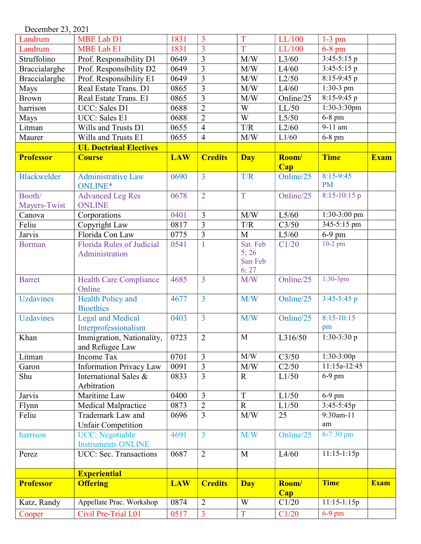December 23, 2021

| Landrum            | <b>MBE Lab D1</b>                                   | 1831       | 3              | T                                    | LL/100       | $1-3$ pm                 |             |
|--------------------|-----------------------------------------------------|------------|----------------|--------------------------------------|--------------|--------------------------|-------------|
| Landrum            | <b>MBE Lab E1</b>                                   | 1831       | 3              | T                                    | LL/100       | $6-8$ pm                 |             |
| Struffolino        | Prof. Responsibility D1                             | 0649       | $\overline{3}$ | M/W                                  | L3/60        | $3:45-5:15 p$            |             |
| Braccialarghe      | Prof. Responsibility D2                             | 0649       | $\overline{3}$ | M/W                                  | L4/60        | $3:45-5:15$ p            |             |
| Braccialarghe      | Prof. Responsibility E1                             | 0649       | $\overline{3}$ | M/W                                  | L2/50        | $8:15-9:45$ p            |             |
| Mays               | Real Estate Trans. D1                               | 0865       | 3              | M/W                                  | L4/60        | $1:30-3$ pm              |             |
| <b>Brown</b>       | Real Estate Trans. E1                               | 0865       | 3              | M/W                                  | Online/25    | $8:15-9:45$ p            |             |
| harrison           | UCC: Sales D1                                       | 0688       | $\overline{2}$ | W                                    | LL/50        | 1:30-3:30pm              |             |
| Mays               | UCC: Sales E1                                       | 0688       | $\overline{2}$ | $\overline{W}$                       | L5/50        | $6-8$ pm                 |             |
| Litman             | Wills and Trusts D1                                 | 0655       | $\overline{4}$ | T/R                                  | L2/60        | $\overline{9}$ -11 am    |             |
| Maurer             | Wills and Trusts E1                                 | 0655       | $\overline{4}$ | M/W                                  | L1/60        | $6-8$ pm                 |             |
|                    | <b>UL Doctrinal Electives</b>                       |            |                |                                      |              |                          |             |
| <b>Professor</b>   | <b>Course</b>                                       | <b>LAW</b> | <b>Credits</b> | <b>Day</b>                           | Room/        | <b>Time</b>              | <b>Exam</b> |
|                    |                                                     |            |                |                                      | Cap          |                          |             |
| <b>Blackwelder</b> | <b>Administrative Law</b><br>ONLINE*                | 0690       | $\overline{3}$ | T/R                                  | Online/25    | $8:15-9:45$<br><b>PM</b> |             |
| Booth/             | <b>Advanced Leg Res</b>                             | 0678       | $\overline{2}$ | T                                    | Online/25    | $8:15-10:15$ p           |             |
| Mayers-Twist       | <b>ONLINE</b>                                       |            |                |                                      |              |                          |             |
| Canova             | Corporations                                        | 0401       | 3              | M/W                                  | L5/60        | 1:30-3:00 pm             |             |
| Feliu              | Copyright Law                                       | 0817       | $\overline{3}$ | T/R                                  | C3/50        | 345-5:15 pm              |             |
| Jarvis             | Florida Con Law                                     | 0775       | $\overline{3}$ | $\mathbf{M}$                         | L5/60        | $6-9$ pm                 |             |
| <b>Borman</b>      | <b>Florida Rules of Judicial</b><br>Administration  | 0541       | 1              | Sat. Feb<br>5; 26<br>Sun Feb<br>6;27 | C1/20        | $10-2$ pm                |             |
| <b>Barret</b>      | <b>Health Care Compliance</b><br>Online             | 4685       | 3              | M/W                                  | Online/25    | $1:30-3pm$               |             |
| <b>Uzdavines</b>   | <b>Health Policy and</b><br><b>Bioethics</b>        | 4677       | $\overline{3}$ | M/W                                  | Online/25    | $3:45-5:45$ p            |             |
| <b>Uzdavines</b>   | <b>Legal and Medical</b><br>Interprofessionalism    | 0403       | $\overline{3}$ | M/W                                  | Online/25    | $8:15 - 10:15$<br>pm     |             |
| Khan               | Immigration, Nationality,<br>and Refugee Law        | 0723       | $\overline{2}$ | $\mathbf{M}$                         | L316/50      | $1:30-3:30p$             |             |
| Litman             | <b>Income Tax</b>                                   | 0701       | $\overline{3}$ | M/W                                  | C3/50        | $1:30-3:00p$             |             |
| Garon              | <b>Information Privacy Law</b>                      | 0091       | $\overline{3}$ | M/W                                  | C2/50        | 11:15a-12:45             |             |
| Shu                | International Sales &<br>Arbitration                | 0833       | $\overline{3}$ | $\mathbf R$                          | L1/50        | $6-9$ pm                 |             |
| Jarvis             | Maritime Law                                        | 0400       | $\overline{3}$ | T                                    | L1/50        | $6-9$ pm                 |             |
| Flynn              | Medical Malpractice                                 | 0873       | $\overline{2}$ | $\mathbf R$                          | L1/50        | $3:45-5:45p$             |             |
| Feliu              | Trademark Law and                                   | 0696       | $\overline{3}$ | M/W                                  | 25           | 9:30am-11                |             |
|                    | <b>Unfair Competition</b>                           |            |                |                                      |              | am                       |             |
| harrison           | <b>UCC:</b> Negotiable<br><b>Instruments ONLINE</b> | 4691       | $\overline{3}$ | M/W                                  | Online/25    | $6 - 7:30$ pm            |             |
| Perez              | UCC: Sec. Transactions                              | 0687       | $\overline{2}$ | M                                    | L4/60        | $11:15-1:15p$            |             |
|                    | <b>Experiential</b>                                 |            |                |                                      |              |                          |             |
| <b>Professor</b>   | <b>Offering</b>                                     | <b>LAW</b> | <b>Credits</b> | <b>Day</b>                           | Room/<br>Cap | <b>Time</b>              | <b>Exam</b> |
| Katz, Randy        | Appellate Prac. Workshop                            | 0874       | $\overline{2}$ | W                                    | C1/20        | $11:15-1:15p$            |             |
| Cooper             | Civil Pre-Trial L01                                 | 0517       | $\overline{3}$ | $\mathbf T$                          | C1/20        | $6-9$ pm                 |             |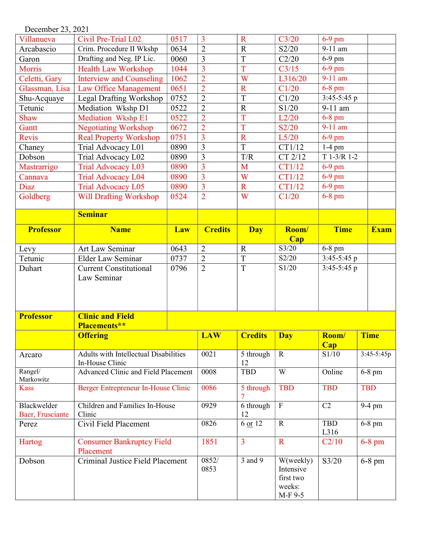| December 23, 2021 |                                               |      |                |                       |                    |                      |              |
|-------------------|-----------------------------------------------|------|----------------|-----------------------|--------------------|----------------------|--------------|
| Villanueva        | Civil Pre-Trial L02                           | 0517 | $\overline{3}$ | $\mathbf R$           | C3/20              | $6-9$ pm             |              |
| Arcabascio        | Crim. Procedure II Wkshp                      | 0634 | $\overline{2}$ | $\mathbb{R}$          | S2/20              | 9-11 am              |              |
| Garon             | Drafting and Neg. IP Lic.                     | 0060 | $\overline{3}$ | T                     | C2/20              | $\overline{6}$ -9 pm |              |
| <b>Morris</b>     | <b>Health Law Workshop</b>                    | 1044 | $\overline{3}$ | T                     | C3/15              | $6-9$ pm             |              |
| Celetti, Gary     | <b>Interview and Counseling</b>               | 1062 | $\overline{2}$ | W                     | L316/20            | 9-11 am              |              |
| Glassman, Lisa    | <b>Law Office Management</b>                  | 0651 | $\overline{2}$ | $\overline{\text{R}}$ | C1/20              | $6-8$ pm             |              |
| Shu-Acquaye       | Legal Drafting Workshop                       | 0752 | $\overline{2}$ | $\overline{T}$        | C1/20              | 3:45-5:45 p          |              |
| Tetunic           | Mediation Wkshp D1                            | 0522 | $\overline{2}$ | $\overline{R}$        | S1/20              | 9-11 am              |              |
| Shaw              | <b>Mediation Wkshp E1</b>                     | 0522 | $\overline{2}$ | T                     | L2/20              | $6-8$ pm             |              |
| Gantt             | <b>Negotiating Workshop</b>                   | 0672 | $\overline{2}$ | T                     | S2/20              | 9-11 am              |              |
| Revis             | <b>Real Property Workshop</b>                 | 0751 | 3              | $\mathbf R$           | L5/20              | $6-9$ pm             |              |
| Chaney            | Trial Advocacy L01                            | 0890 | $\overline{3}$ | T                     | CT1/12             | $\overline{1}$ -4 pm |              |
| Dobson            | Trial Advocacy L02                            | 0890 | $\overline{3}$ | T/R                   | CT 2/12            | $T$ 1-3/R 1-2        |              |
| Mastrarrigo       | <b>Trial Advocacy L03</b>                     | 0890 | $\overline{3}$ | M                     | CT1/12             | 6-9 pm               |              |
| Cannava           | <b>Trial Advocacy L04</b>                     | 0890 | $\overline{3}$ | W                     | CT1/12             | $6-9$ pm             |              |
| Diaz              | <b>Trial Advocacy L05</b>                     | 0890 | $\overline{3}$ | $\mathbf R$           | CT1/12             | 6-9 pm               |              |
| Goldberg          | <b>Will Drafting Workshop</b>                 | 0524 | $\overline{2}$ | W                     | C1/20              | $6-8$ pm             |              |
|                   |                                               |      |                |                       |                    |                      |              |
|                   | <b>Seminar</b>                                |      |                |                       |                    |                      |              |
| <b>Professor</b>  | <b>Name</b>                                   | Law  | <b>Credits</b> | <b>Day</b>            | Room/              | <b>Time</b>          | <b>Exam</b>  |
|                   |                                               |      |                |                       | <b>Cap</b>         |                      |              |
| Levy              | Art Law Seminar                               | 0643 | $\overline{2}$ | $\mathbf R$           | $\overline{S3/20}$ | 6-8 pm               |              |
| Tetunic           | <b>Elder Law Seminar</b>                      | 0737 | $\overline{2}$ | T                     | S2/20              | 3:45-5:45 p          |              |
| Duhart            | <b>Current Constitutional</b>                 | 0796 | $\overline{2}$ | T                     | S1/20              | $3:45-5:45$ p        |              |
|                   | Law Seminar                                   |      |                |                       |                    |                      |              |
|                   |                                               |      |                |                       |                    |                      |              |
|                   |                                               |      |                |                       |                    |                      |              |
|                   |                                               |      |                |                       |                    |                      |              |
| <b>Professor</b>  | <b>Clinic and Field</b>                       |      |                |                       |                    |                      |              |
|                   | <b>Placements**</b>                           |      |                |                       |                    |                      |              |
|                   | <b>Offering</b>                               |      | <b>LAW</b>     | <b>Credits</b>        | <b>Day</b>         | Room/                | <b>Time</b>  |
|                   | Adults with Intellectual Disabilities         |      | 0021           | 5 through             | $\mathbf R$        | <b>Cap</b><br>S1/10  | $3:45-5:45p$ |
| Arcaro            | In-House Clinic                               |      |                | 12                    |                    |                      |              |
| Rangel/           | Advanced Clinic and Field Placement           |      | 0008           | <b>TBD</b>            | W                  | Online               | 6-8 pm       |
| Markowitz         |                                               |      |                |                       |                    |                      |              |
| <b>Kass</b>       | Berger Entrepreneur In-House Clinic           |      | 0086           | 5 through             | <b>TBD</b>         | <b>TBD</b>           | <b>TBD</b>   |
| Blackwelder       | Children and Families In-House                |      | 0929           | 6 through             | $\mathbf{F}$       | C2                   | 9-4 pm       |
| Baer, Frusciante  | Clinic                                        |      |                | 12                    |                    |                      |              |
| Perez             | Civil Field Placement                         |      | 0826           | 6 or 12               | $\mathbf R$        | <b>TBD</b><br>L316   | $6-8$ pm     |
| Hartog            | <b>Consumer Bankruptcy Field</b>              |      | 1851           | $\overline{3}$        | $\mathbf R$        | C2/10                | $6-8$ pm     |
|                   | Placement<br>Criminal Justice Field Placement |      | 0852/          | 3 and 9               | W(weekly)          | S3/20                |              |
| Dobson            |                                               |      | 0853           |                       | Intensive          |                      | $6-8$ pm     |
|                   |                                               |      |                |                       | first two          |                      |              |
|                   |                                               |      |                |                       | weeks:             |                      |              |
|                   |                                               |      |                |                       | M-F 9-5            |                      |              |